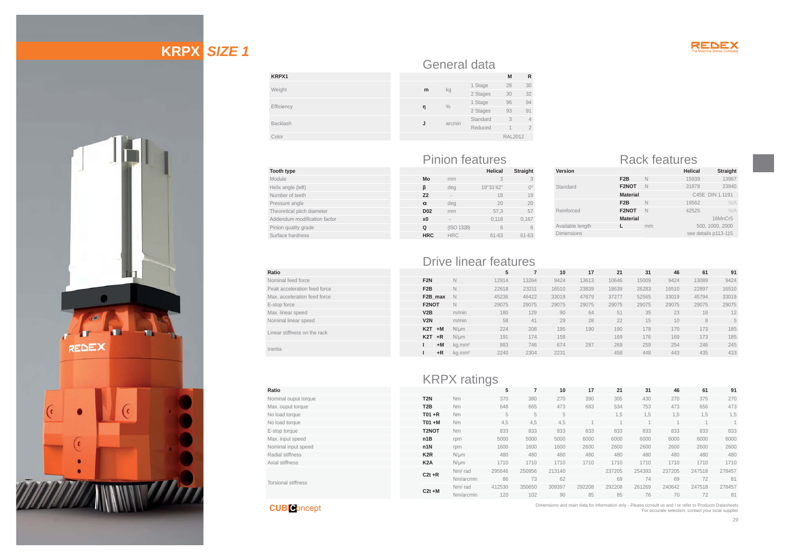

# **KRPX** *SIZE 1*



|            |   |        | General data |
|------------|---|--------|--------------|
| KRPX1      |   |        |              |
| Weight     | m | kg     | 1 Stage      |
|            |   |        | 2 Stages     |
| Efficiency |   | $\%$   | 1 Stage      |
|            | η |        | 2 Stages     |
| Backlash   | J | arcmin | Standard     |
|            |   |        | Reduced      |
| Color      |   |        |              |
|            |   |        |              |

| <b>Tooth type</b>            |
|------------------------------|
| Module                       |
| Helix angle (left)           |
| Number of teeth              |
| Pressure angle               |
| Theoretical pitch diameter   |
| Addendum modification factor |
| Pinion quality grade         |
| Surface hardness             |

## Pinion features Rack features **Helical Straight Mo** mm 3 3

kg 1 Stage 28 30<br>2 Stages 30 32 **<sup>Ș</sup>** % 1 Stage <sup>96</sup> <sup>94</sup> 2 Stages <sup>93</sup> <sup>91</sup>

> Standard 3 4 Reduced 1 2 RAL2012

|                 | deg        | 19°31'42" | $\bigcap^{\circ}$ |
|-----------------|------------|-----------|-------------------|
| Z <sub>2</sub>  | $\sim$     | 18        | 19                |
| α               | deg        | 20        | 20                |
| D <sub>02</sub> | mm         | 57,3      | 57                |
| x <sub>0</sub>  |            | 0,118     | 0,167             |
| Q               | (ISO 1328) | հ         |                   |
| <b>HRC</b>      | <b>HRC</b> | $61 - 63$ | $61 - 63$         |

| Version           |                  |    | <b>Helical</b>       | <b>Straight</b> |
|-------------------|------------------|----|----------------------|-----------------|
|                   | F <sub>2</sub> B | N  | 15939                | 13967           |
| Standard          | F2NOT            | N  | 31878                | 23940           |
|                   | <b>Material</b>  |    |                      | C45E DIN 1.1191 |
|                   | F <sub>2</sub> B | N  | 19562                | N/A             |
| Reinforced        | F2NOT            | N  | 42525                | N/A             |
|                   | <b>Material</b>  |    |                      | 16MnCr5         |
| Available length  |                  | mm |                      | 500, 1000, 2000 |
| <b>Dimensions</b> |                  |    | see details p113-115 |                 |
|                   |                  |    |                      |                 |

|                              |                  | <b>Drive linear features</b> |       |       |       |       |       |       |       |       |       |
|------------------------------|------------------|------------------------------|-------|-------|-------|-------|-------|-------|-------|-------|-------|
| Ratio                        |                  |                              | 5     |       | 10    | 17    | 21    | 31    | 46    | 61    | 91    |
| Nominal feed force           | F <sub>2N</sub>  | $\mathbb N$                  | 12914 | 13264 | 9424  | 13613 | 10646 | 15009 | 9424  | 13089 | 9424  |
| Peak acceleration feed force | F <sub>2</sub> B | $\mathbb N$                  | 22618 | 23211 | 16510 | 23839 | 18639 | 26283 | 16510 | 22897 | 16510 |
| Max. acceleration feed force | F2B max          | N                            | 45236 | 46422 | 33019 | 47679 | 37277 | 52565 | 33019 | 45794 | 33019 |
| E-stop force                 | F2NOT            | $\mathbb N$                  | 29075 | 29075 | 29075 | 29075 | 29075 | 29075 | 29075 | 29075 | 29075 |
| Max. linear speed            | V2B              | m/min                        | 180   | 129   | 90    | 64    | 51    | 35    | 23    | 18    | 12    |
| Nominal linear speed         | V2N              | m/min                        | 58    | 41    | 29    | 28    | 22    | 15    | 10    | 8     |       |
| Linear stiffness on the rack | K <sub>2</sub> T | $+M$<br>$N/\mu m$            | 224   | 208   | 195   | 190   | 190   | 178   | 170   | 173   | 185   |
|                              | K <sub>2</sub> T | $+R$<br>$N/\mu m$            | 191   | 174   | 158   |       | 169   | 176   | 169   | 173   | 185   |
| Inertia                      |                  | $+M$<br>kg.mm <sup>2</sup>   | 883   | 746   | 674   | 287   | 269   | 259   | 254   | 246   | 245   |
|                              |                  | $+R$<br>kg.mm <sup>2</sup>   | 2240  | 2304  | 2231  |       | 458   | 448   | 443   | 435   | 433   |

**M R**

|                            |                  | <b>KRPX</b> ratings |        |        |        |        |        |        |        |        |        |
|----------------------------|------------------|---------------------|--------|--------|--------|--------|--------|--------|--------|--------|--------|
| Ratio                      |                  |                     | 5      | 7      | 10     | 17     | 21     | 31     | 46     | 61     | 91     |
|                            |                  |                     |        |        |        |        |        |        |        |        |        |
| Nominal ouput torque       | T <sub>2N</sub>  | Nm                  | 370    | 380    | 270    | 390    | 305    | 430    | 270    | 375    | 270    |
| Max. ouput torque          | T <sub>2</sub> B | Nm                  | 648    | 665    | 473    | 683    | 534    | 753    | 473    | 656    | 473    |
| No load torque             | $T01 + R$        | Nm                  | 5      | 5      | 5      |        | 1,5    | 1,5    | 1,5    | 1,5    | 1,5    |
| No load torque             | $TO1 + M$        | Nm                  | 4.5    | 4.5    | 4.5    |        |        |        |        |        |        |
| E-stop torque              | T2NOT            | <b>Nm</b>           | 833    | 833    | 833    | 833    | 833    | 833    | 833    | 833    | 833    |
| Max. input speed           | n1B              | rpm                 | 5000   | 5000   | 5000   | 6000   | 6000   | 6000   | 6000   | 6000   | 6000   |
| Nominal input speed        | n1N              | rpm                 | 1600   | 1600   | 1600   | 2600   | 2600   | 2600   | 2600   | 2600   | 2600   |
| Radial stiffness           | K <sub>2</sub> R | $N/\mu m$           | 480    | 480    | 480    | 480    | 480    | 480    | 480    | 480    | 480    |
| Axial stiffness            | K <sub>2</sub> A | $N/\mu m$           | 1710   | 1710   | 1710   | 1710   | 1710   | 1710   | 1710   | 1710   | 1710   |
|                            | $C2t + R$        | Nm/rad              | 295646 | 250956 | 213140 |        | 237205 | 254393 | 237205 | 247518 | 278457 |
|                            |                  | Nm/arcmin           | 86     | 73     | 62     |        | 69     | 74     | 69     | 72     | 81     |
| <b>Torsional stiffness</b> | $C2t + M$        | Nm/rad              | 412530 | 350650 | 309397 | 292208 | 292208 | 261269 | 240642 | 247518 | 278457 |
|                            |                  | Nm/arcmin           | 120    | 102    | 90     | 85     | 85     | 76     | 70     | 72     | 81     |

**CUBI C**oncept

Dimensions and main data for information only - Please consult us and / or refer to Products Datasheets For accurate selection, contact your local supplier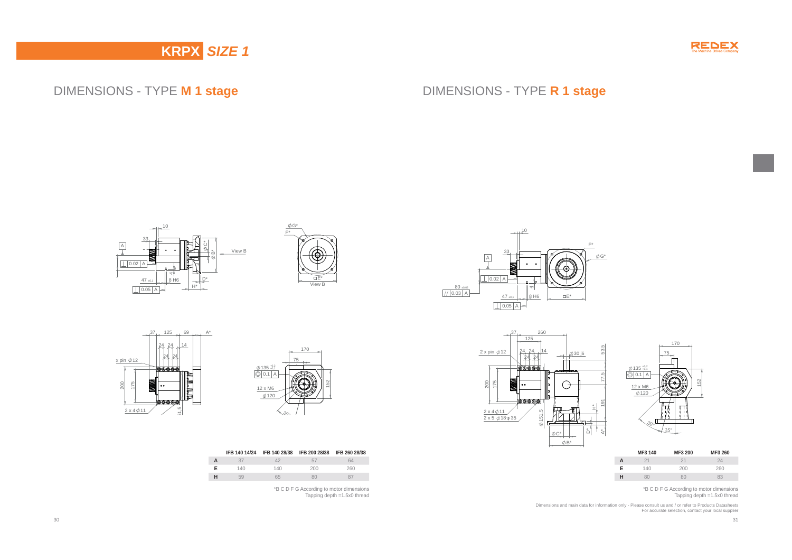

## DIMENSIONS - TYPE **M 1 stage**

## DIMENSIONS - TYPE **R 1 stage**









|   |  | IFB 140 14/24 IFB 140 28/38 IFB 200 28/38 IFB 260 28/38 |  |
|---|--|---------------------------------------------------------|--|
|   |  | 57                                                      |  |
| Е |  |                                                         |  |



\*B C D F G According to motor dimensions Tapping depth =1.5x0 thread





|                             |     | 170 |     |
|-----------------------------|-----|-----|-----|
|                             | 75  |     |     |
|                             |     |     |     |
|                             |     |     |     |
| $\phi$ 135 $^{+0.2}_{+0.1}$ |     |     |     |
| 0.1<br>$\overline{A}$       |     |     |     |
| 12 x M6                     |     |     | 152 |
| $\phi$ 120                  |     |     |     |
|                             |     |     |     |
|                             |     |     |     |
|                             |     |     |     |
|                             |     |     |     |
| $\mathcal{S}_0$             |     |     |     |
|                             | 15° |     |     |
|                             |     |     |     |



\*B C D F G According to motor dimensions Tapping depth =1.5x0 thread

Dimensions and main data for information only - Please consult us and / or refer to Products Datasheets For accurate selection, contact your local supplier